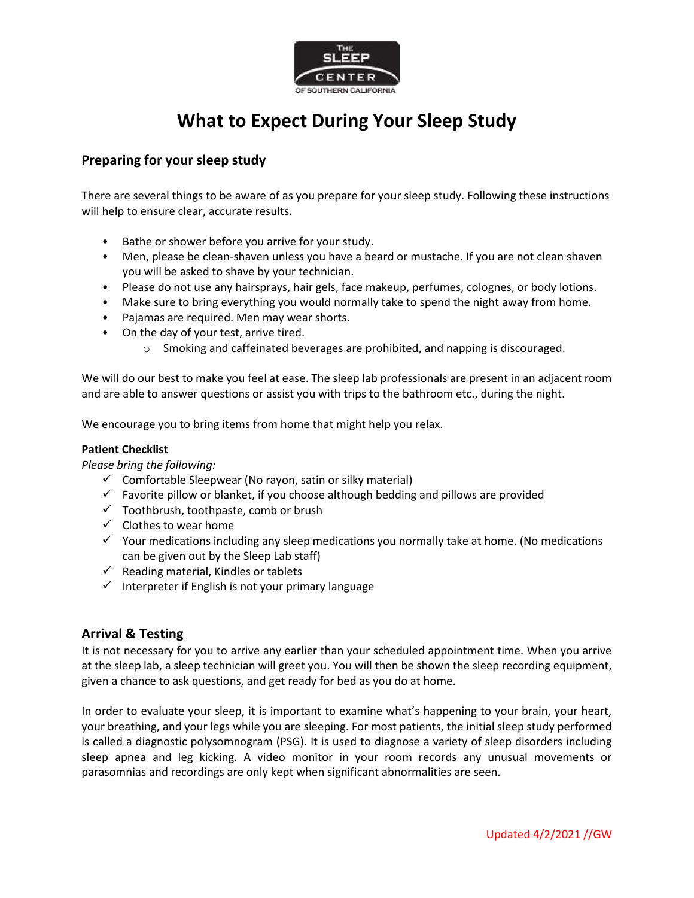

# **What to Expect During Your Sleep Study**

## **Preparing for your sleep study**

There are several things to be aware of as you prepare for your sleep study. Following these instructions will help to ensure clear, accurate results.

- Bathe or shower before you arrive for your study.
- Men, please be clean-shaven unless you have a beard or mustache. If you are not clean shaven you will be asked to shave by your technician.
- Please do not use any hairsprays, hair gels, face makeup, perfumes, colognes, or body lotions.
- Make sure to bring everything you would normally take to spend the night away from home.
- Pajamas are required. Men may wear shorts.
- On the day of your test, arrive tired.
	- o Smoking and caffeinated beverages are prohibited, and napping is discouraged.

We will do our best to make you feel at ease. The sleep lab professionals are present in an adjacent room and are able to answer questions or assist you with trips to the bathroom etc., during the night.

We encourage you to bring items from home that might help you relax.

## **Patient Checklist**

*Please bring the following:*

- $\checkmark$  Comfortable Sleepwear (No rayon, satin or silky material)
- $\checkmark$  Favorite pillow or blanket, if you choose although bedding and pillows are provided
- $\checkmark$  Toothbrush, toothpaste, comb or brush
- $\checkmark$  Clothes to wear home
- $\checkmark$  Your medications including any sleep medications you normally take at home. (No medications can be given out by the Sleep Lab staff)
- $\checkmark$  Reading material, Kindles or tablets
- $\checkmark$  Interpreter if English is not your primary language

## **Arrival & Testing**

It is not necessary for you to arrive any earlier than your scheduled appointment time. When you arrive at the sleep lab, a sleep technician will greet you. You will then be shown the sleep recording equipment, given a chance to ask questions, and get ready for bed as you do at home.

In order to evaluate your sleep, it is important to examine what's happening to your brain, your heart, your breathing, and your legs while you are sleeping. For most patients, the initial sleep study performed is called a diagnostic polysomnogram (PSG). It is used to diagnose a variety of sleep disorders including sleep apnea and leg kicking. A video monitor in your room records any unusual movements or parasomnias and recordings are only kept when significant abnormalities are seen.